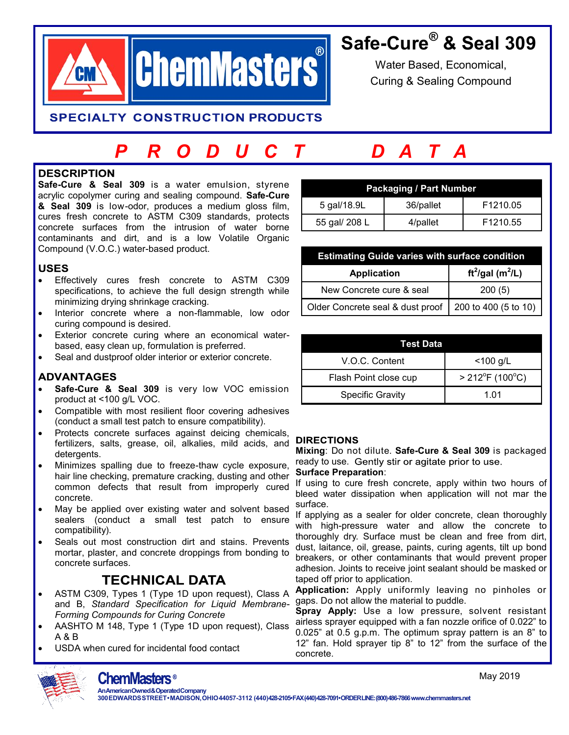

## **Safe-Cure® & Seal 309**

Water Based, Economical, Curing & Sealing Compound

**SPECIALTY CONSTRUCTION PRODUCTS** 

# *P R O D U C T D A T A*

#### **DESCRIPTION**

**Safe-Cure & Seal 309** is a water emulsion, styrene acrylic copolymer curing and sealing compound. **Safe-Cure & Seal 309** is low-odor, produces a medium gloss film, cures fresh concrete to ASTM C309 standards, protects concrete surfaces from the intrusion of water borne contaminants and dirt, and is a low Volatile Organic Compound (V.O.C.) water-based product.

#### **USES**

- Effectively cures fresh concrete to ASTM C309 specifications, to achieve the full design strength while minimizing drying shrinkage cracking.
- Interior concrete where a non-flammable, low odor curing compound is desired.
- Exterior concrete curing where an economical waterbased, easy clean up, formulation is preferred.
- Seal and dustproof older interior or exterior concrete.

### **ADVANTAGES**

- **Safe-Cure & Seal 309** is very low VOC emission product at <100 g/L VOC.
- Compatible with most resilient floor covering adhesives (conduct a small test patch to ensure compatibility).
- Protects concrete surfaces against deicing chemicals, fertilizers, salts, grease, oil, alkalies, mild acids, and detergents.
- Minimizes spalling due to freeze-thaw cycle exposure, hair line checking, premature cracking, dusting and other common defects that result from improperly cured concrete.
- May be applied over existing water and solvent based sealers (conduct a small test patch to ensure compatibility).
- Seals out most construction dirt and stains. Prevents mortar, plaster, and concrete droppings from bonding to concrete surfaces.

### **TECHNICAL DATA**

- ASTM C309, Types 1 (Type 1D upon request), Class A and B, *Standard Specification for Liquid Membrane-Forming Compounds for Curing Concrete*
- AASHTO M 148, Type 1 (Type 1D upon request), Class A & B
- USDA when cured for incidental food contact

| <b>Packaging / Part Number</b> |           |                      |  |
|--------------------------------|-----------|----------------------|--|
| 5 gal/18.9L                    | 36/pallet | F <sub>1210.05</sub> |  |
| 55 gal/ 208 L                  | 4/pallet  | F <sub>1210.55</sub> |  |

| <b>Estimating Guide varies with surface condition</b> |                                          |  |
|-------------------------------------------------------|------------------------------------------|--|
| <b>Application</b>                                    | ft <sup>2</sup> /gal (m <sup>2</sup> /L) |  |
| New Concrete cure & seal                              | 200(5)                                   |  |
| Older Concrete seal & dust proof                      | 200 to 400 (5 to 10)                     |  |

| Test Data               |                                |  |
|-------------------------|--------------------------------|--|
| V.O.C. Content          | $<$ 100 g/L                    |  |
| Flash Point close cup   | $> 212^{\circ}F(100^{\circ}C)$ |  |
| <b>Specific Gravity</b> | 1.01                           |  |

#### **DIRECTIONS**

**Mixing**: Do not dilute. **Safe-Cure & Seal 309** is packaged ready to use. Gently stir or agitate prior to use.

#### **Surface Preparation**:

If using to cure fresh concrete, apply within two hours of bleed water dissipation when application will not mar the surface.

If applying as a sealer for older concrete, clean thoroughly with high-pressure water and allow the concrete to thoroughly dry. Surface must be clean and free from dirt, dust, laitance, oil, grease, paints, curing agents, tilt up bond breakers, or other contaminants that would prevent proper adhesion. Joints to receive joint sealant should be masked or taped off prior to application.

**Application:** Apply uniformly leaving no pinholes or gaps. Do not allow the material to puddle.

**Spray Apply:** Use a low pressure, solvent resistant airless sprayer equipped with a fan nozzle orifice of 0.022" to 0.025" at 0.5 g.p.m. The optimum spray pattern is an 8" to 12" fan. Hold sprayer tip 8" to 12" from the surface of the concrete.



**AnAmericanOwned&OperatedCompany**

May 2019